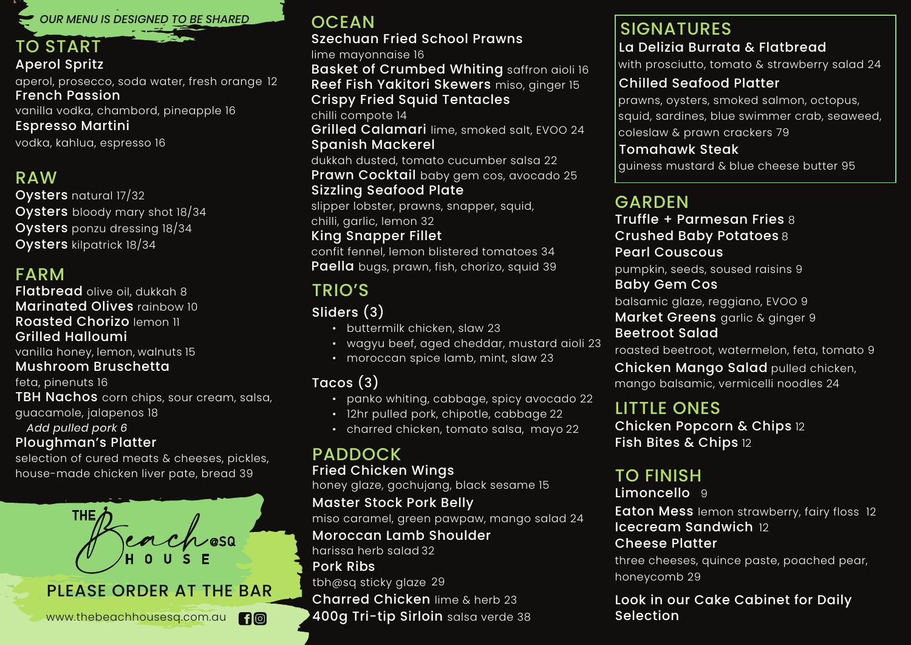OUR MENU IS DESIGNED TO BE SHARED

### TO START Aperol Spritz

aperol, prosecco, soda water, fresh orange 12 French Passion vanilla vodka, chambord, pineapple 16 Espresso Martini vodka, kahlua, espresso 16

# RAW

Oysters natural 17/32 Oysters bloody mary shot 18/34 Oysters ponzu dressing 18/34 Oysters kilpatrick 18/34

# FARM

Flatbread olive oil, dukkah 8 Marinated Olives rainbow 10 Roasted Chorizo lemon 11 Grilled Halloumi

vanilla honey, lemon, walnuts 15

### Mushroom Bruschetta

feta, pinenuts 16

**TBH Nachos** corn chips, sour cream, salsa, guacamole, jalapenos 18

*Add pulled pork 6*

### Ploughman's Platter

selection of cured meats & cheeses, pickles, house-made chicken liver pate, bread 39



# **OCEAN**

#### Szechuan Fried School Prawns lime mayonnaise 16

Basket of Crumbed Whiting saffron aioli 16 Reef Fish Yakitori Skewers miso, ginger 15 Crispy Fried Squid Tentacles

chilli compote 14

Grilled Calamari lime, smoked salt, EVOO 24 Spanish Mackerel

dukkah dusted, tomato cucumber salsa 22 Prawn Cocktail baby gem cos, avocado 25 Sizzling Seafood Plate

slipper lobster, prawns, snapper, squid, chilli, garlic, lemon 32

### King Snapper Fillet

confit fennel, lemon blistered tomatoes 34 Paella bugs, prawn, fish, chorizo, squid 39

# TRIO'S

# Sliders (3)

- buttermilk chicken, slaw 23
- wagyu beef, aged cheddar, mustard aioli 23
- moroccan spice lamb, mint, slaw 23

### Tacos (3)

- panko whiting, cabbage, spicy avocado 22
- 12hr pulled pork, chipotle, cabbage 22
- charred chicken, tomato salsa, mayo 22

# PADDOCK

Fried Chicken Wings

honey glaze, gochujang, black sesame 15

### Master Stock Pork Belly

miso caramel, green pawpaw, mango salad 24

#### Moroccan Lamb Shoulder

Charred Chicken lime & herb 23 harissa herb salad 32 400g Tri-tip Sirloin salsa verde 38 Pork Ribs tbh@sq sticky glaze 29

### SIGNATURES

### La Delizia Burrata & Flatbread

with prosciutto, tomato & strawberry salad 24

### Chilled Seafood Platter

 prawns, oysters, smoked salmon, octopus, squid, sardines, blue swimmer crab, seaweed, coleslaw & prawn crackers 79

#### Tomahawk Steak

guiness mustard & blue cheese butter 95

# GARDEN

Truffle + Parmesan Fries 8 Crushed Baby Potatoes 8 Pearl Couscous

pumpkin, seeds, soused raisins 9

#### Baby Gem Cos

balsamic glaze, reggiano, EVOO 9 Market Greens garlic & ginger 9

Beetroot Salad

roasted beetroot, watermelon, feta, tomato 9

**Chicken Mango Salad** pulled chicken, mango balsamic, vermicelli noodles 24

# LITTLE ONES

Chicken Popcorn & Chips 12 Fish Bites & Chips 12

# TO FINISH

Limoncello 9 Eaton Mess lemon strawberry, fairy floss 12 Icecream Sandwich 12 Cheese Platter three cheeses, quince paste, poached pear, honeycomb 29

Look in our Cake Cabinet for Daily Selection